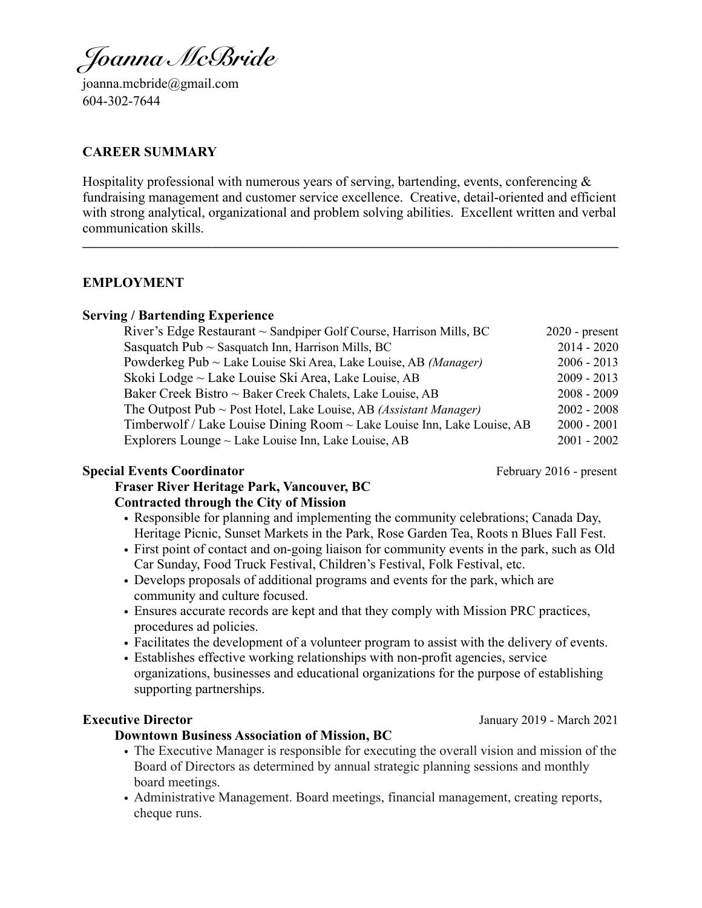*Joanna McBride*

[joanna.mcbride@gmail.com](mailto:joanna.mcbride@gmail.com) 604-302-7644

#### **CAREER SUMMARY**

Hospitality professional with numerous years of serving, bartending, events, conferencing  $\&$ fundraising management and customer service excellence. Creative, detail-oriented and efficient with strong analytical, organizational and problem solving abilities. Excellent written and verbal communication skills. **\_\_\_\_\_\_\_\_\_\_\_\_\_\_\_\_\_\_\_\_\_\_\_\_\_\_\_\_\_\_\_\_\_\_\_\_\_\_\_\_\_\_\_\_\_\_\_\_\_\_\_\_\_\_\_\_\_\_\_\_\_\_\_\_\_\_\_\_\_\_\_\_\_\_\_\_\_\_\_\_\_\_\_\_\_**

#### **EMPLOYMENT**

#### **Serving / Bartending Experience**

| River's Edge Restaurant $\sim$ Sandpiper Golf Course, Harrison Mills, BC      | $2020$ - present |
|-------------------------------------------------------------------------------|------------------|
| Sasquatch Pub $\sim$ Sasquatch Inn, Harrison Mills, BC                        | $2014 - 2020$    |
| Powderkeg Pub ~ Lake Louise Ski Area, Lake Louise, AB (Manager)               | $2006 - 2013$    |
| Skoki Lodge ~ Lake Louise Ski Area, Lake Louise, AB                           | $2009 - 2013$    |
| Baker Creek Bistro ~ Baker Creek Chalets, Lake Louise, AB                     | $2008 - 2009$    |
| The Outpost Pub $\sim$ Post Hotel, Lake Louise, AB <i>(Assistant Manager)</i> | $2002 - 2008$    |
| Timberwolf / Lake Louise Dining Room ~ Lake Louise Inn, Lake Louise, AB       | $2000 - 2001$    |
| Explorers Lounge $\sim$ Lake Louise Inn, Lake Louise, AB                      | $2001 - 2002$    |

#### **Special Events Coordinator February 2016 - present**

# **Fraser River Heritage Park, Vancouver, BC Contracted through the City of Mission**

- Responsible for planning and implementing the community celebrations; Canada Day, Heritage Picnic, Sunset Markets in the Park, Rose Garden Tea, Roots n Blues Fall Fest.
- First point of contact and on-going liaison for community events in the park, such as Old Car Sunday, Food Truck Festival, Children's Festival, Folk Festival, etc.
- Develops proposals of additional programs and events for the park, which are community and culture focused.
- Ensures accurate records are kept and that they comply with Mission PRC practices, procedures ad policies.
- Facilitates the development of a volunteer program to assist with the delivery of events.
- Establishes effective working relationships with non-profit agencies, service organizations, businesses and educational organizations for the purpose of establishing supporting partnerships.

#### **Downtown Business Association of Mission, BC**

- The Executive Manager is responsible for executing the overall vision and mission of the Board of Directors as determined by annual strategic planning sessions and monthly board meetings.
- Administrative Management. Board meetings, financial management, creating reports, cheque runs.

**Executive Director** January 2019 - March 2021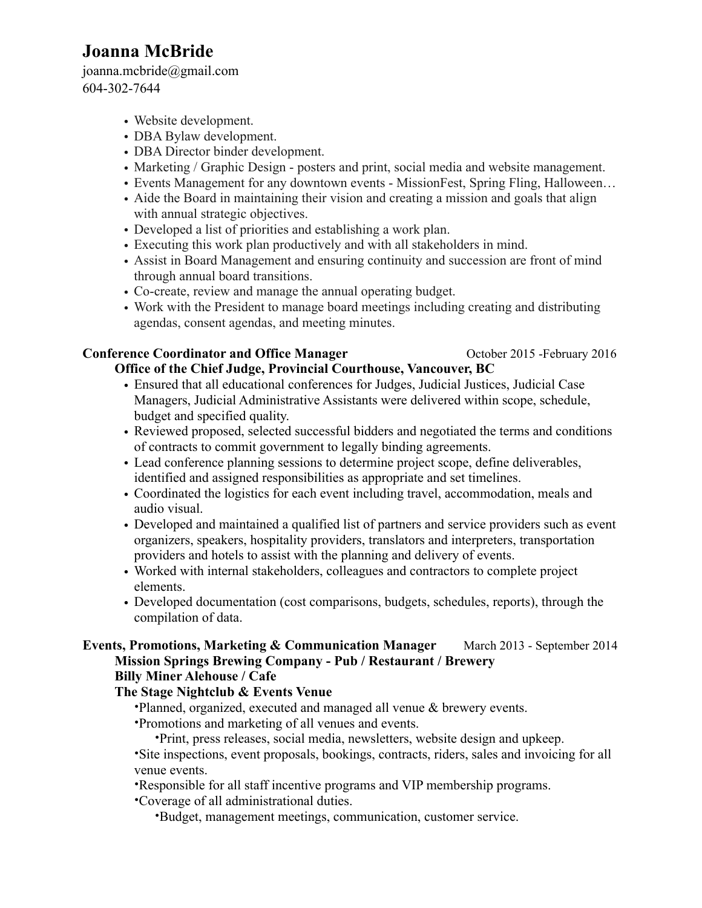# **Joanna McBride**

[joanna.mcbride@gmail.com](mailto:joanna.mcbride@gmail.com) 604-302-7644

- Website development.
- DBA Bylaw development.
- DBA Director binder development.
- Marketing / Graphic Design posters and print, social media and website management.
- Events Management for any downtown events MissionFest, Spring Fling, Halloween…
- Aide the Board in maintaining their vision and creating a mission and goals that align with annual strategic objectives.
- Developed a list of priorities and establishing a work plan.
- Executing this work plan productively and with all stakeholders in mind.
- Assist in Board Management and ensuring continuity and succession are front of mind through annual board transitions.
- Co-create, review and manage the annual operating budget.
- Work with the President to manage board meetings including creating and distributing agendas, consent agendas, and meeting minutes.

# **Conference Coordinator and Office Manager <br>Conference Coordinator and Office Manager <br>Coronal Details and Office Manager <br>Coronal Details and Details and Office Manager**

# **Office of the Chief Judge, Provincial Courthouse, Vancouver, BC**

- Ensured that all educational conferences for Judges, Judicial Justices, Judicial Case Managers, Judicial Administrative Assistants were delivered within scope, schedule, budget and specified quality.
- Reviewed proposed, selected successful bidders and negotiated the terms and conditions of contracts to commit government to legally binding agreements.
- Lead conference planning sessions to determine project scope, define deliverables, identified and assigned responsibilities as appropriate and set timelines.
- Coordinated the logistics for each event including travel, accommodation, meals and audio visual.
- Developed and maintained a qualified list of partners and service providers such as event organizers, speakers, hospitality providers, translators and interpreters, transportation providers and hotels to assist with the planning and delivery of events.
- Worked with internal stakeholders, colleagues and contractors to complete project elements.
- Developed documentation (cost comparisons, budgets, schedules, reports), through the compilation of data.

## **Events, Promotions, Marketing & Communication Manager** March 2013 - September 2014 **Mission Springs Brewing Company - Pub / Restaurant / Brewery Billy Miner Alehouse / Cafe**

# **The Stage Nightclub & Events Venue**

•Planned, organized, executed and managed all venue & brewery events.

•Promotions and marketing of all venues and events.

•Print, press releases, social media, newsletters, website design and upkeep.

•Site inspections, event proposals, bookings, contracts, riders, sales and invoicing for all venue events.

•Responsible for all staff incentive programs and VIP membership programs.

•Coverage of all administrational duties.

•Budget, management meetings, communication, customer service.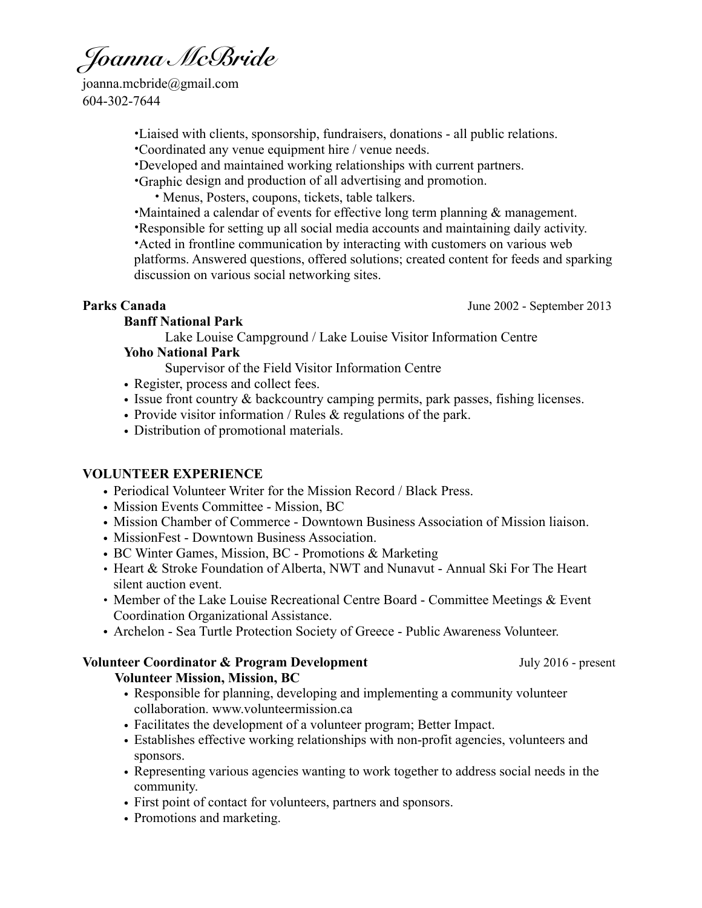*Joanna McBride*

[joanna.mcbride@gmail.com](mailto:joanna.mcbride@gmail.com) 604-302-7644

•Liaised with clients, sponsorship, fundraisers, donations - all public relations.

•Coordinated any venue equipment hire / venue needs.

•Developed and maintained working relationships with current partners.

•Graphic design and production of all advertising and promotion.

• Menus, Posters, coupons, tickets, table talkers.

•Maintained a calendar of events for effective long term planning & management.

•Responsible for setting up all social media accounts and maintaining daily activity.

•Acted in frontline communication by interacting with customers on various web platforms. Answered questions, offered solutions; created content for feeds and sparking discussion on various social networking sites.

**Parks Canada** June 2002 - September 2013

#### **Banff National Park**

Lake Louise Campground / Lake Louise Visitor Information Centre

### **Yoho National Park**

Supervisor of the Field Visitor Information Centre

- Register, process and collect fees.
- Issue front country & backcountry camping permits, park passes, fishing licenses.
- Provide visitor information / Rules & regulations of the park.
- Distribution of promotional materials.

## **VOLUNTEER EXPERIENCE**

- Periodical Volunteer Writer for the Mission Record / Black Press.
- Mission Events Committee Mission, BC
- Mission Chamber of Commerce Downtown Business Association of Mission liaison.
- MissionFest Downtown Business Association.
- BC Winter Games, Mission, BC Promotions & Marketing
- Heart & Stroke Foundation of Alberta, NWT and Nunavut Annual Ski For The Heart silent auction event.
- Member of the Lake Louise Recreational Centre Board Committee Meetings & Event Coordination Organizational Assistance.
- Archelon Sea Turtle Protection Society of Greece Public Awareness Volunteer.

## **Volunteer Coordinator & Program Development** July 2016 - present

#### **Volunteer Mission, Mission, BC**

- Responsible for planning, developing and implementing a community volunteer collaboration. [www.volunteermission.ca](http://www.volunteermission.ca)
- Facilitates the development of a volunteer program; Better Impact.
- Establishes effective working relationships with non-profit agencies, volunteers and sponsors.
- Representing various agencies wanting to work together to address social needs in the community.
- First point of contact for volunteers, partners and sponsors.
- Promotions and marketing.